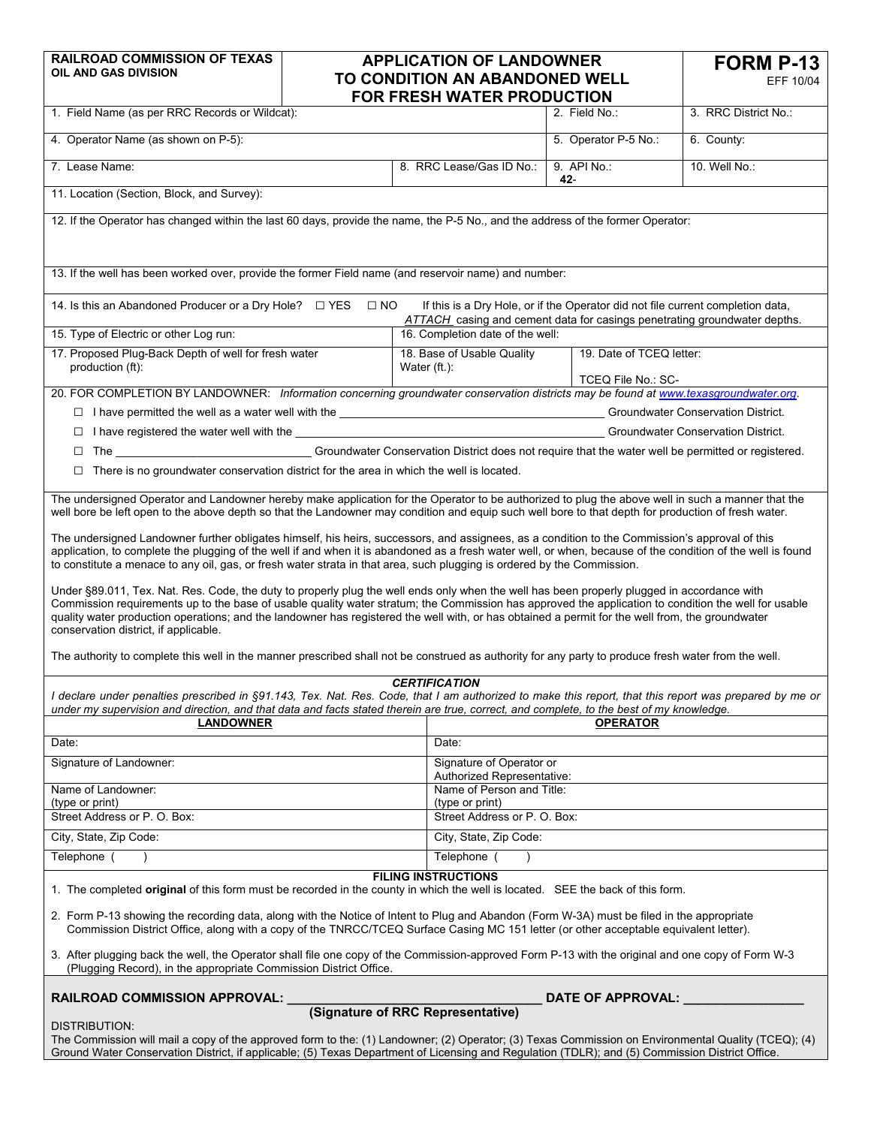| <b>RAILROAD COMMISSION OF TEXAS</b><br>OIL AND GAS DIVISION                                                                                                                                                                                                                                                                                                                                                                                                                                                                                                                                                                                                                                                                                                                                                                                                                                                                                                                                                                                                                                                                                                                                                                                                 | <b>APPLICATION OF LANDOWNER</b><br>TO CONDITION AN ABANDONED WELL<br>FOR FRESH WATER PRODUCTION                                      |                                                                          | <b>FORM P-13</b><br>EFF 10/04 |                      |  |
|-------------------------------------------------------------------------------------------------------------------------------------------------------------------------------------------------------------------------------------------------------------------------------------------------------------------------------------------------------------------------------------------------------------------------------------------------------------------------------------------------------------------------------------------------------------------------------------------------------------------------------------------------------------------------------------------------------------------------------------------------------------------------------------------------------------------------------------------------------------------------------------------------------------------------------------------------------------------------------------------------------------------------------------------------------------------------------------------------------------------------------------------------------------------------------------------------------------------------------------------------------------|--------------------------------------------------------------------------------------------------------------------------------------|--------------------------------------------------------------------------|-------------------------------|----------------------|--|
| 1. Field Name (as per RRC Records or Wildcat):                                                                                                                                                                                                                                                                                                                                                                                                                                                                                                                                                                                                                                                                                                                                                                                                                                                                                                                                                                                                                                                                                                                                                                                                              |                                                                                                                                      |                                                                          | 2. Field No.:                 | 3. RRC District No.: |  |
| 4. Operator Name (as shown on P-5):                                                                                                                                                                                                                                                                                                                                                                                                                                                                                                                                                                                                                                                                                                                                                                                                                                                                                                                                                                                                                                                                                                                                                                                                                         |                                                                                                                                      |                                                                          | 5. Operator P-5 No.:          | 6. County:           |  |
| 7. Lease Name:                                                                                                                                                                                                                                                                                                                                                                                                                                                                                                                                                                                                                                                                                                                                                                                                                                                                                                                                                                                                                                                                                                                                                                                                                                              |                                                                                                                                      | 8. RRC Lease/Gas ID No.:                                                 | 9. API No.:<br>42-            | 10. Well No.:        |  |
| 11. Location (Section, Block, and Survey):                                                                                                                                                                                                                                                                                                                                                                                                                                                                                                                                                                                                                                                                                                                                                                                                                                                                                                                                                                                                                                                                                                                                                                                                                  |                                                                                                                                      |                                                                          |                               |                      |  |
| 12. If the Operator has changed within the last 60 days, provide the name, the P-5 No., and the address of the former Operator:                                                                                                                                                                                                                                                                                                                                                                                                                                                                                                                                                                                                                                                                                                                                                                                                                                                                                                                                                                                                                                                                                                                             |                                                                                                                                      |                                                                          |                               |                      |  |
| 13. If the well has been worked over, provide the former Field name (and reservoir name) and number:                                                                                                                                                                                                                                                                                                                                                                                                                                                                                                                                                                                                                                                                                                                                                                                                                                                                                                                                                                                                                                                                                                                                                        |                                                                                                                                      |                                                                          |                               |                      |  |
| 14. Is this an Abandoned Producer or a Dry Hole? □ YES<br>$\Box$ NO<br>If this is a Dry Hole, or if the Operator did not file current completion data,<br>ATTACH casing and cement data for casings penetrating groundwater depths.                                                                                                                                                                                                                                                                                                                                                                                                                                                                                                                                                                                                                                                                                                                                                                                                                                                                                                                                                                                                                         |                                                                                                                                      |                                                                          |                               |                      |  |
| 15. Type of Electric or other Log run:                                                                                                                                                                                                                                                                                                                                                                                                                                                                                                                                                                                                                                                                                                                                                                                                                                                                                                                                                                                                                                                                                                                                                                                                                      |                                                                                                                                      | 16. Completion date of the well:                                         |                               |                      |  |
| 17. Proposed Plug-Back Depth of well for fresh water<br>production (ft):                                                                                                                                                                                                                                                                                                                                                                                                                                                                                                                                                                                                                                                                                                                                                                                                                                                                                                                                                                                                                                                                                                                                                                                    |                                                                                                                                      | 19. Date of TCEQ letter:<br>18. Base of Usable Quality<br>Water $(ft)$ : |                               |                      |  |
|                                                                                                                                                                                                                                                                                                                                                                                                                                                                                                                                                                                                                                                                                                                                                                                                                                                                                                                                                                                                                                                                                                                                                                                                                                                             |                                                                                                                                      | TCEQ File No.: SC-                                                       |                               |                      |  |
|                                                                                                                                                                                                                                                                                                                                                                                                                                                                                                                                                                                                                                                                                                                                                                                                                                                                                                                                                                                                                                                                                                                                                                                                                                                             | 20. FOR COMPLETION BY LANDOWNER: Information concerning groundwater conservation districts may be found at www.texasgroundwater.org. |                                                                          |                               |                      |  |
|                                                                                                                                                                                                                                                                                                                                                                                                                                                                                                                                                                                                                                                                                                                                                                                                                                                                                                                                                                                                                                                                                                                                                                                                                                                             |                                                                                                                                      |                                                                          |                               |                      |  |
|                                                                                                                                                                                                                                                                                                                                                                                                                                                                                                                                                                                                                                                                                                                                                                                                                                                                                                                                                                                                                                                                                                                                                                                                                                                             |                                                                                                                                      |                                                                          |                               |                      |  |
| The The Groundwater Conservation District does not require that the water well be permitted or registered.<br>$\Box$<br>$\Box$ There is no groundwater conservation district for the area in which the well is located.                                                                                                                                                                                                                                                                                                                                                                                                                                                                                                                                                                                                                                                                                                                                                                                                                                                                                                                                                                                                                                     |                                                                                                                                      |                                                                          |                               |                      |  |
| The undersigned Operator and Landowner hereby make application for the Operator to be authorized to plug the above well in such a manner that the                                                                                                                                                                                                                                                                                                                                                                                                                                                                                                                                                                                                                                                                                                                                                                                                                                                                                                                                                                                                                                                                                                           |                                                                                                                                      |                                                                          |                               |                      |  |
| well bore be left open to the above depth so that the Landowner may condition and equip such well bore to that depth for production of fresh water.<br>The undersigned Landowner further obligates himself, his heirs, successors, and assignees, as a condition to the Commission's approval of this<br>application, to complete the plugging of the well if and when it is abandoned as a fresh water well, or when, because of the condition of the well is found<br>to constitute a menace to any oil, gas, or fresh water strata in that area, such plugging is ordered by the Commission.<br>Under §89.011, Tex. Nat. Res. Code, the duty to properly plug the well ends only when the well has been properly plugged in accordance with<br>Commission requirements up to the base of usable quality water stratum; the Commission has approved the application to condition the well for usable<br>quality water production operations; and the landowner has registered the well with, or has obtained a permit for the well from, the groundwater<br>conservation district, if applicable.<br>The authority to complete this well in the manner prescribed shall not be construed as authority for any party to produce fresh water from the well. |                                                                                                                                      |                                                                          |                               |                      |  |
| <b>CERTIFICATION</b>                                                                                                                                                                                                                                                                                                                                                                                                                                                                                                                                                                                                                                                                                                                                                                                                                                                                                                                                                                                                                                                                                                                                                                                                                                        |                                                                                                                                      |                                                                          |                               |                      |  |
| I declare under penalties prescribed in §91.143, Tex. Nat. Res. Code, that I am authorized to make this report, that this report was prepared by me or<br>under my supervision and direction, and that data and facts stated therein are true, correct, and complete, to the best of my knowledge.<br><b>LANDOWNER</b><br><b>OPERATOR</b>                                                                                                                                                                                                                                                                                                                                                                                                                                                                                                                                                                                                                                                                                                                                                                                                                                                                                                                   |                                                                                                                                      |                                                                          |                               |                      |  |
|                                                                                                                                                                                                                                                                                                                                                                                                                                                                                                                                                                                                                                                                                                                                                                                                                                                                                                                                                                                                                                                                                                                                                                                                                                                             |                                                                                                                                      |                                                                          | Date:                         |                      |  |
| Date:<br>Signature of Landowner:                                                                                                                                                                                                                                                                                                                                                                                                                                                                                                                                                                                                                                                                                                                                                                                                                                                                                                                                                                                                                                                                                                                                                                                                                            |                                                                                                                                      |                                                                          | Signature of Operator or      |                      |  |
| Name of Landowner:                                                                                                                                                                                                                                                                                                                                                                                                                                                                                                                                                                                                                                                                                                                                                                                                                                                                                                                                                                                                                                                                                                                                                                                                                                          |                                                                                                                                      | Authorized Representative:                                               | Name of Person and Title:     |                      |  |
| (type or print)<br>Street Address or P. O. Box:                                                                                                                                                                                                                                                                                                                                                                                                                                                                                                                                                                                                                                                                                                                                                                                                                                                                                                                                                                                                                                                                                                                                                                                                             |                                                                                                                                      | (type or print)                                                          | Street Address or P. O. Box:  |                      |  |
| City, State, Zip Code:                                                                                                                                                                                                                                                                                                                                                                                                                                                                                                                                                                                                                                                                                                                                                                                                                                                                                                                                                                                                                                                                                                                                                                                                                                      |                                                                                                                                      |                                                                          | City, State, Zip Code:        |                      |  |
| Telephone (<br>$\lambda$                                                                                                                                                                                                                                                                                                                                                                                                                                                                                                                                                                                                                                                                                                                                                                                                                                                                                                                                                                                                                                                                                                                                                                                                                                    |                                                                                                                                      |                                                                          | Telephone (<br>$\lambda$      |                      |  |
| <b>FILING INSTRUCTIONS</b>                                                                                                                                                                                                                                                                                                                                                                                                                                                                                                                                                                                                                                                                                                                                                                                                                                                                                                                                                                                                                                                                                                                                                                                                                                  |                                                                                                                                      |                                                                          |                               |                      |  |
| 1. The completed original of this form must be recorded in the county in which the well is located. SEE the back of this form.<br>2. Form P-13 showing the recording data, along with the Notice of Intent to Plug and Abandon (Form W-3A) must be filed in the appropriate<br>Commission District Office, along with a copy of the TNRCC/TCEQ Surface Casing MC 151 letter (or other acceptable equivalent letter).                                                                                                                                                                                                                                                                                                                                                                                                                                                                                                                                                                                                                                                                                                                                                                                                                                        |                                                                                                                                      |                                                                          |                               |                      |  |
| 3. After plugging back the well, the Operator shall file one copy of the Commission-approved Form P-13 with the original and one copy of Form W-3<br>(Plugging Record), in the appropriate Commission District Office.                                                                                                                                                                                                                                                                                                                                                                                                                                                                                                                                                                                                                                                                                                                                                                                                                                                                                                                                                                                                                                      |                                                                                                                                      |                                                                          |                               |                      |  |
| <b>RAILROAD COMMISSION APPROVAL:</b>                                                                                                                                                                                                                                                                                                                                                                                                                                                                                                                                                                                                                                                                                                                                                                                                                                                                                                                                                                                                                                                                                                                                                                                                                        |                                                                                                                                      |                                                                          | DATE OF APPROVAL:             |                      |  |
| (Signature of RRC Representative)<br><b>DISTRIBUTION:</b><br>The Commission will mail a copy of the approved form to the: (1) Landowner; (2) Operator; (3) Texas Commission on Environmental Quality (TCEQ); (4)<br>Ground Water Conservation District, if applicable; (5) Texas Department of Licensing and Regulation (TDLR); and (5) Commission District Office.                                                                                                                                                                                                                                                                                                                                                                                                                                                                                                                                                                                                                                                                                                                                                                                                                                                                                         |                                                                                                                                      |                                                                          |                               |                      |  |